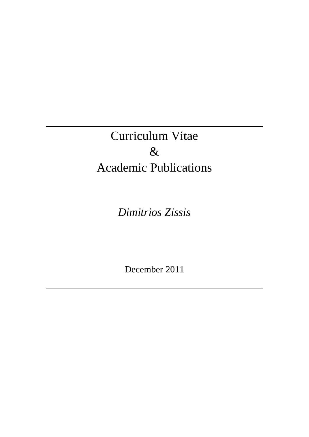# Curriculum Vitae  $\&$ Academic Publications

*Dimitrios Zissis*

December 2011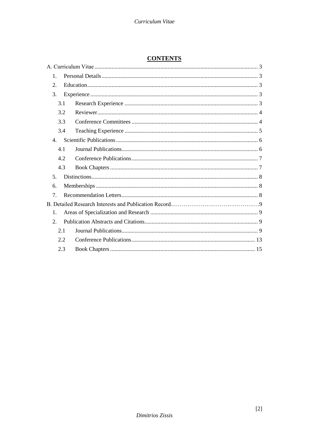## **CONTENTS**

| $\mathbf{1}$ .   |     |  |  |  |
|------------------|-----|--|--|--|
| 2.               |     |  |  |  |
| 3.               |     |  |  |  |
|                  | 3.1 |  |  |  |
|                  | 3.2 |  |  |  |
|                  | 3.3 |  |  |  |
|                  | 3.4 |  |  |  |
| $\overline{4}$ . |     |  |  |  |
|                  | 4.1 |  |  |  |
|                  | 42  |  |  |  |
|                  | 4.3 |  |  |  |
| 5 <sub>1</sub>   |     |  |  |  |
| 6.               |     |  |  |  |
| 7.               |     |  |  |  |
|                  |     |  |  |  |
| $\mathbf{1}$ .   |     |  |  |  |
| 2.               |     |  |  |  |
|                  | 2.1 |  |  |  |
|                  | 2.2 |  |  |  |
|                  | 2.3 |  |  |  |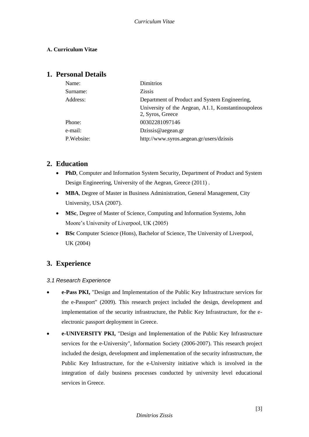## <span id="page-2-0"></span>**Α. Curriculum Vitae**

## <span id="page-2-1"></span>**1. Personal Details**

| Name:      | Dimitrios                                          |
|------------|----------------------------------------------------|
| Surname:   | <b>Zissis</b>                                      |
| Address:   | Department of Product and System Engineering,      |
|            | University of the Aegean, A1.1, Konstantinoupoleos |
|            | 2, Syros, Greece                                   |
| Phone:     | 00302281097146                                     |
| e-mail:    | Dzissis@aegean.gr                                  |
| P.Website: | http://www.syros.aegean.gr/users/dzissis           |
|            |                                                    |

# <span id="page-2-2"></span>**2. Education**

- **PhD**, Computer and Information System Security, Department of Product and System Design Engineering, University of the Aegean, Greece (2011) .
- **MBA**, Degree of Master in Business Administration, General Management, City University, USA (2007).
- **MSc**, Degree of Master of Science, Computing and Information Systems, John Moore's University of Liverpool, UK (2005)
- **BSc** Computer Science (Hons), Bachelor of Science, The University of Liverpool, UK (2004)

# <span id="page-2-3"></span>**3. Experience**

## <span id="page-2-4"></span>*3.1 Research Experience*

- **e-Pass PKI,** "Design and Implementation of the Public Key Infrastructure services for the e-Passport" (2009). This research project included the design, development and implementation of the security infrastructure, the Public Key Infrastructure, for the eelectronic passport deployment in Greece.
- **e-UNIVERSITY PKI,** "Design and Implementation of the Public Key Infrastructure services for the e-University", Information Society (2006-2007). This research project included the design, development and implementation of the security infrastructure, the Public Key Infrastructure, for the e-University initiative which is involved in the integration of daily business processes conducted by university level educational services in Greece.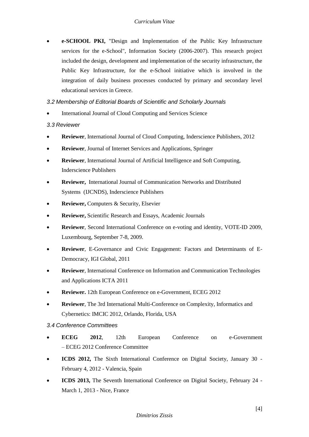**e-SCHOOL PKI,** "Design and Implementation of the Public Key Infrastructure services for the e-School", Information Society (2006-2007). This research project included the design, development and implementation of the security infrastructure, the Public Key Infrastructure, for the e-School initiative which is involved in the integration of daily business processes conducted by primary and secondary level educational services in Greece.

#### *3.2 Membership of Editorial Boards of Scientific and Scholarly Journals*

International Journal of Cloud Computing and Services Science

## <span id="page-3-0"></span>*3.3 Reviewer*

- **Reviewer**, International Journal of Cloud Computing, Inderscience Publishers, 2012
- **Reviewer**, Journal of Internet Services and Applications, Springer
- **Reviewer**, International Journal of Artificial Intelligence and Soft Computing, Inderscience Publishers
- **Reviewer,** International Journal of Communication Networks and Distributed Systems (IJCNDS), Inderscience Publishers
- **Reviewer,** Computers & Security, Elsevier
- **Reviewer,** Scientific Research and Essays, Academic Journals
- **Reviewer**, Second International Conference on e-voting and identity, VOTE-ID 2009, Luxembourg, September 7-8, 2009.
- **Reviewer**, E-Governance and Civic Engagement: Factors and Determinants of E-Democracy, IGI Global, 2011
- **Reviewer**, International Conference on Information and Communication Technologies and Applications ICTA 2011
- **Reviewer.** 12th European Conference on e-Government, ECEG 2012
- **Reviewer**, The 3rd International Multi-Conference on Complexity, Informatics and Cybernetics: IMCIC 2012, Orlando, Florida, USA

## <span id="page-3-1"></span>*3.4 Conference Committees*

- **ECEG 2012**, 12th European Conference on e-Government – ECEG 2012 Conference Committee
- **ICDS 2012,** The Sixth International Conference on Digital Society, January 30 February 4, 2012 - Valencia, Spain
- **ICDS 2013,** The Seventh International Conference on Digital Society, February 24 March 1, 2013 - Nice, France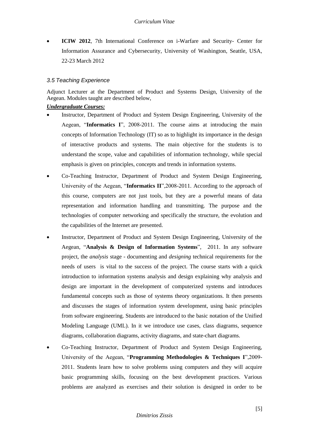**[ICIW 2012](http://academic-conferences.org/iciw/iciw2012/iciw12-home.htm)**, 7th International Conference on i-Warfare and Security- Center for Information Assurance and Cybersecurity, University of Washington, Seattle, USA, 22-23 March 2012

#### <span id="page-4-0"></span>*3.5 Teaching Experience*

Adjunct Lecturer at the Department of Product and Systems Design, University of the Aegean. Modules taught are described below,

#### *Undergraduate Courses:*

- Instructor, Department of Product and System Design Engineering, University of the Aegean, "**Informatics I**", 2008-2011. The course aims at introducing the main concepts of Information Technology (IT) so as to highlight its importance in the design of interactive products and systems. The main objective for the students is to understand the scope, value and capabilities of information technology, while special emphasis is given on principles, concepts and trends in information systems.
- Co-Teaching Instructor, Department of Product and System Design Engineering, University of the Aegean, "**Informatics II**",2008-2011. According to the approach of this course, computers are not just tools, but they are a powerful means of data representation and information handling and transmitting. The purpose and the technologies of computer networking and specifically the structure, the evolution and the capabilities of the Internet are presented.
- Instructor, Department of Product and System Design Engineering, University of the Aegean, "**Analysis & Design of Information Systems**", 2011. In any software project, the *analysis* stage - documenting and *designing* technical requirements for the needs of users is vital to the success of the project. The course starts with a quick introduction to information systems analysis and design explaining why analysis and design are important in the development of computerized systems and introduces fundamental concepts such as those of systems theory organizations. It then presents and discusses the stages of information system development, using basic principles from software engineering. Students are introduced to the basic notation of the Unified Modeling Language (UML). In it we introduce use cases, class diagrams, sequence diagrams, collaboration diagrams, activity diagrams, and state-chart diagrams.
- Co-Teaching Instructor, Department of Product and System Design Engineering, University of the Aegean, "**Programming Methodologies & Techniques I**",2009- 2011. Students learn how to solve problems using computers and they will acquire basic programming skills, focusing on the best development practices. Various problems are analyzed as exercises and their solution is designed in order to be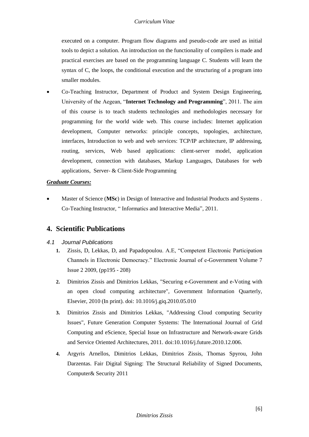executed on a computer. Program flow diagrams and pseudo-code are used as initial tools to depict a solution. An introduction on the functionality of compilers is made and practical exercises are based on the programming language C. Students will learn the syntax of C, the loops, the conditional execution and the structuring of a program into smaller modules.

 Co-Teaching Instructor, Department of Product and System Design Engineering, University of the Aegean, "**Internet Technology and Programming**", 2011. The aim of this course is to teach students technologies and methodologies necessary for programming for the world wide web. This course includes: Internet application development, Computer networks: principle concepts, topologies, architecture, interfaces, Introduction to web and web services: TCP/IP architecture, IP addressing, routing, services, Web based applications: client-server model, application development, connection with databases, Markup Languages, Databases for web applications, Server- & Client-Side Programming

## *Graduate Courses:*

 Master of Science (**MSc**) in Design of Interactive and Industrial Products and Systems . Co-Teaching Instructor, " Informatics and Interactive Media", 2011.

# <span id="page-5-0"></span>**4. Scientific Publications**

## <span id="page-5-1"></span>*4.1 Journal Publications*

- **1.** Zissis, D, Lekkas, D, and Papadopoulou. A.E, "Competent Electronic Participation Channels in Electronic Democracy." Electronic Journal of e-Government Volume 7 Issue 2 2009, (pp195 - 208)
- **2.** Dimitrios Zissis and Dimitrios Lekkas, "Securing e-Government and e-Voting with an open cloud computing architecture", Government Information Quarterly, Elsevier, 2010 (In print). doi: 10.1016/j.giq.2010.05.010
- **3.** Dimitrios Zissis and Dimitrios Lekkas, "Addressing Cloud computing Security Issues", Future Generation Computer Systems: The International Journal of Grid Computing and eScience, Special Issue on Infrastructure and Network-aware Grids and Service Oriented Architectures, 2011. doi:10.1016/j.future.2010.12.006.
- **4.** Argyris Arnellos, Dimitrios Lekkas, Dimitrios Zissis, Thomas Spyrou, John Darzentas. Fair Digital Signing: The Structural Reliability of Signed Documents, Computer& Security 2011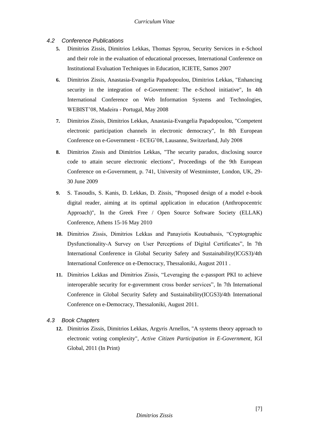- <span id="page-6-0"></span>*4.2 Conference Publications*
	- **5.** Dimitrios Zissis, Dimitrios Lekkas, Thomas Spyrou, Security Services in e-School and their role in the evaluation of educational processes, International Conference on Institutional Evaluation Techniques in Education, ICIETE, Samos 2007
	- **6.** Dimitrios Zissis, Anastasia-Evangelia Papadopoulou, Dimitrios Lekkas, "Enhancing security in the integration of e-Government: The e-School initiative", In 4th International Conference on Web Information Systems and Technologies, WEBIST'08, Madeira - Portugal, May 2008
	- **7.** Dimitrios Zissis, Dimitrios Lekkas, Anastasia-Evangelia Papadopoulou, "Competent electronic participation channels in electronic democracy", In 8th European Conference on e-Government - ECEG'08, Lausanne, Switzerland, July 2008
	- **8.** Dimitrios Zissis and Dimitrios Lekkas, "The security paradox, disclosing source code to attain secure electronic elections", Proceedings of the 9th European Conference on e-Government, p. 741, University of Westminster, London, UK, 29- 30 June 2009
	- **9.** S. Tasoudis, S. Kanis, D. Lekkas, D. Zissis, "Proposed design of a model e-book digital reader, aiming at its optimal application in education (Anthropocentric Approach)", In the Greek Free / Open Source Software Society (ELLAK) Conference, Athens 15-16 May 2010
	- **10.** Dimitrios Zissis, Dimitrios Lekkas and Panayiotis Koutsabasis, "Cryptographic Dysfunctionality-A Survey on User Perceptions of Digital Certificates", In 7th International Conference in Global Security Safety and Sustainability(ICGS3)/4th International Conference on e-Democracy, Thessaloniki, August 2011 .
	- **11.** Dimitrios Lekkas and Dimitrios Zissis, "Leveraging the e-passport PKI to achieve interoperable security for e-government cross border services", In 7th International Conference in Global Security Safety and Sustainability(ICGS3)/4th International Conference on e-Democracy, Thessaloniki, August 2011.

#### <span id="page-6-1"></span>*4.3 Book Chapters*

**12.** Dimitrios Zissis, Dimitrios Lekkas, Argyris Arnellos, "A systems theory approach to electronic voting complexity", *Active Citizen Participation in E-Government*, IGI Global, 2011 (In Print)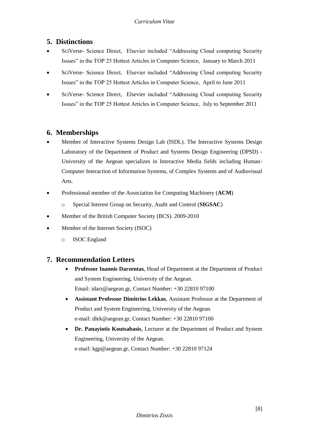# <span id="page-7-0"></span>**5. Distinctions**

- SciVerse- Science Direct, Elsevier included "Addressing Cloud computing Security Issues" in the TOP 25 Hottest Articles in Computer Science, January to March 2011
- SciVerse- Science Direct, Elsevier included "Addressing Cloud computing Security Issues" in the TOP 25 Hottest Articles in Computer Science, April to June 2011
- SciVerse- Science Direct, Elsevier included "Addressing Cloud computing Security Issues" in the TOP 25 Hottest Articles in Computer Science, July to September 2011

# <span id="page-7-1"></span>**6. Memberships**

- Member of Interactive Systems Design Lab (ISDL). The Interactive Systems Design Laboratory of the Department of Product and Systems Design Engineering (DPSD) - University of the Aegean specializes in Interactive Media fields including Human-Computer Interaction of Information Systems, of Complex Systems and of Audiovisual Arts.
- Professional member of the [Association for Computing Machinery](http://www.acm.org/) (**ACM**)
	- o Special Interest Group on Security, Audit and Control (**[SIGSAC](http://www.sigsac.org/)**)
- Member of the British Computer Society (BCS). 2009-2010
- Member of the Internet Society (ISOC)
	- o ISOC England

# <span id="page-7-2"></span>**7. Recommendation Letters**

- **Professor Ioannis Darzentas**, Head of Department at the Department of Product and System Engineering, University of the Aegean. Email: idarz@aegean.gr, Contact Number: +30 22810 97100
- **Assistant Professor Dimitrios Lekkas**, Assistant Professor at the Department of Product and System Engineering, University of the Aegean. e-mail: [dlek@aegean.gr,](mailto:dlek@aegean.gr) Contact Number: +30 22810 97100
- **Dr. Panayiotis Koutsabasis**, Lecturer at the Department of Product and System Engineering, University of the Aegean. e-mail: kgp@aegean.gr, Contact Number: +30 22810 97124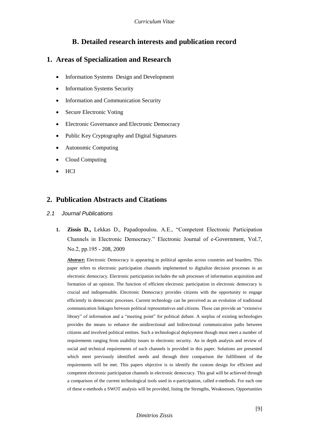# **Β. Detailed research interests and publication record**

# <span id="page-8-0"></span>**1. Areas of Specialization and Research**

- Information Systems Design and Development
- Information Systems Security
- Information and Communication Security
- Secure Electronic Voting
- Electronic Governance and Electronic Democracy
- Public Key Cryptography and Digital Signatures
- Autonomic Computing
- Cloud Computing
- **HCI**

# <span id="page-8-1"></span>**2. Publication Abstracts and Citations**

- <span id="page-8-2"></span>*2.1 Journal Publications*
	- **1. Zissis D.,** Lekkas D., Papadopoulou. A.E., "Competent Electronic Participation Channels in Electronic Democracy." Electronic Journal of e-Government, Vol.7, Νο.2, pp.195 - 208, 2009

*Abstract***:** Electronic Democracy is appearing in political agendas across countries and boarders. This paper refers to electronic participation channels implemented to digitalize decision processes in an electronic democracy. Electronic participation includes the sub processes of information acquisition and formation of an opinion. The function of efficient electronic participation in electronic democracy is crucial and indispensable. Electronic Democracy provides citizens with the opportunity to engage efficiently in democratic processes. Current technology can be perceived as an evolution of traditional communication linkages between political representatives and citizens. These can provide an "extensive library" of information and a "meeting point" for political debate. A surplus of existing technologies provides the means to enhance the unidirectional and bidirectional communication paths between citizens and involved political entities. Such a technological deployment though must meet a number of requirements ranging from usability issues to electronic security. An in depth analysis and review of social and technical requirements of such channels is provided in this paper. Solutions are presented which meet previously identified needs and through their comparison the fulfillment of the requirements will be met. This papers objective is to identify the custom design for efficient and competent electronic participation channels in electronic democracy. This goal will be achieved through a comparison of the current technological tools used in e-participation, called e-methods. For each one of these e-methods a SWOT analysis will be provided, listing the Strengths, Weaknesses, Opportunities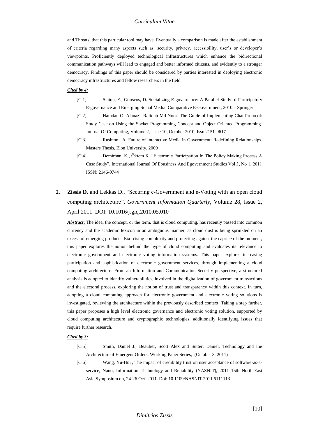#### *Curriculum Vitae*

and Threats, that this particular tool may have. Eventually a comparison is made after the establishment of criteria regarding many aspects such as: security, privacy, accessibility, user's or developer's viewpoints. Proficiently deployed technological infrastructures which enhance the bidirectional communication pathways will lead to engaged and better informed citizens, and evidently to a stronger democracy. Findings of this paper should be considered by parties interested in deploying electronic democracy infrastructures and fellow researchers in the field.

#### *Cited by 4:*

- [Ci1]. Staiou, E., Gouscos, D. Socializing E-governance: A Parallel Study of Participatory E-governance and Emerging Social Media. Comparative E-Government, 2010 – Springer
- [Ci2]. Hamdan O. Alanazi, Rafidah Md Noor. The Guide of Implementing Chat Protocol: Study Case on Using the Socket Programming Concept and Object Oriented Programming. Journal Of Computing, Volume 2, Issue 10, October 2010, Issn 2151-9617
- [Ci3]. Rushton., A. Future of Interactive Media in Government: Redefining Relationships. Masters Thesis, Elon University. 2009
- [Ci4]. Demirhan, K., Öktem K. "Electronic Participation In The Policy Making Process:A Case Study", International Journal Of Ebusiness And Egovernment Studies Vol 3, No 1, 2011 ISSN: 2146-0744
- **2. Zissis D**. and Lekkas D., "Securing e-Government and e-Voting with an open cloud computing architecture", *Government Information Quarterly*, Volume 28, Issue 2, April 2011. DOI: 10.1016/j.giq.2010.05.010

Abstract: The idea, the concept, or the term, that is cloud computing, has recently passed into common currency and the academic lexicon in an ambiguous manner, as cloud dust is being sprinkled on an excess of emerging products. Exorcising complexity and protecting against the caprice of the moment, this paper explores the notion behind the hype of cloud computing and evaluates its relevance to electronic government and electronic voting information systems. This paper explores increasing participation and sophistication of electronic government services, through implementing a cloud computing architecture. From an Information and Communication Security perspective, a structured analysis is adopted to identify vulnerabilities, involved in the digitalization of government transactions and the electoral process, exploring the notion of trust and transparency within this context. In turn, adopting a cloud computing approach for electronic government and electronic voting solutions is investigated, reviewing the architecture within the previously described context. Taking a step further, this paper proposes a high level electronic governance and electronic voting solution, supported by cloud computing architecture and cryptographic technologies, additionally identifying issues that require further research.

#### *Cited by 3:*

- [Ci5]. Smith, Daniel J., Beaulier, Scott Alex and Sutter, Daniel, Technology and the Architecture of Emergent Orders, Working Paper Series, (October 3, 2011)
- [Ci6]. Wang, Yu-Hui , The impact of credibility trust on user acceptance of software-as-aservice, [Nano, Information Technology and Reliability \(NASNIT\), 2011 15th North-East](http://ieeexplore.ieee.org/xpl/mostRecentIssue.jsp?punumber=6095975)  [Asia Symposium on,](http://ieeexplore.ieee.org/xpl/mostRecentIssue.jsp?punumber=6095975) 24-26 Oct. 2011. Doi: 10.1109/NASNIT.2011.6111113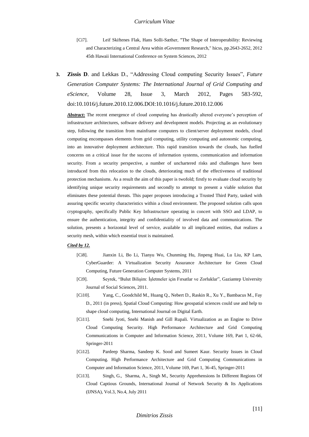- [Ci7]. Leif Skiftenes Flak, Hans Solli-Sæther, "The Shape of Interoperability: Reviewing and Characterizing a Central Area within eGovernment Research," hicss, pp.2643-2652, 2012 45th Hawaii International Conference on System Sciences, 2012
- **3. Zissis D**. and Lekkas D., "Addressing Cloud computing Security Issues", *Future Generation Computer Systems: The International Journal of Grid Computing and eScience*, Volume 28, Issue 3, March 2012, Pages 583-592, doi:10.1016/j.future.2010.12.006.DOI:10.1016/j.future.2010.12.006

**Abstract**: The recent emergence of cloud computing has drastically altered everyone's perception of infrastructure architectures, software delivery and development models. Projecting as an evolutionary step, following the transition from mainframe computers to client/server deployment models, cloud computing encompasses elements from grid computing, utility computing and autonomic computing, into an innovative deployment architecture. This rapid transition towards the clouds, has fuelled concerns on a critical issue for the success of information systems, communication and information security. From a security perspective, a number of unchartered risks and challenges have been introduced from this relocation to the clouds, deteriorating much of the effectiveness of traditional protection mechanisms. As a result the aim of this paper is twofold; firstly to evaluate cloud security by identifying unique security requirements and secondly to attempt to present a viable solution that eliminates these potential threats. This paper proposes introducing a Trusted Third Party, tasked with assuring specific security characteristics within a cloud environment. The proposed solution calls upon cryptography, specifically Public Key Infrastructure operating in concert with SSO and LDAP, to ensure the authentication, integrity and confidentiality of involved data and communications. The solution, presents a horizontal level of service, available to all implicated entities, that realizes a security mesh, within which essential trust is maintained.

#### *Cited by 12.*

- [Ci8]. Jianxin Li, Bo Li, Tianyu Wo, Chunming Hu, Jinpeng Huai, Lu Liu, KP Lam, CyberGuarder: A Virtualization Security Assurance Architecture for Green Cloud Computing, Future Generation Computer Systems, 2011
- [Ci9]. Seyrek, "Bulut Bilişim: İşletmeler için Fırsatlar ve Zorluklar", Gaziantep University Journal of Social Sciences, 2011.
- [Ci10]. Yang, C., Goodchild M., Huang Q., Nebert D., Raskin R., Xu Y., Bambacus M., Fay D., 2011 (in press), Spatial Cloud Computing: How geospatial sciences could use and help to shape cloud computing, International Journal on Digital Earth.
- [Ci11]. Snehi Jyoti, Snehi Manish and Gill Rupali. Virtualization as an Engine to Drive Cloud Computing Security. High Performance Architecture and Grid Computing Communications in Computer and Information Science, 2011, Volume 169, Part 1, 62-66, Springer-2011
- [Ci12]. Pardeep Sharma, Sandeep K. Sood and Sumeet Kaur. Security Issues in Cloud Computing. High Performance Architecture and Grid Computing Communications in Computer and Information Science, 2011, Volume 169, Part 1, 36-45, Springer-2011
- [Ci13]. Singh, G., Sharma, A., Singh M., Security Apprehensions In Different Regions Of Cloud Captious Grounds, International Journal of Network Security & Its Applications (IJNSA), Vol.3, No.4, July 2011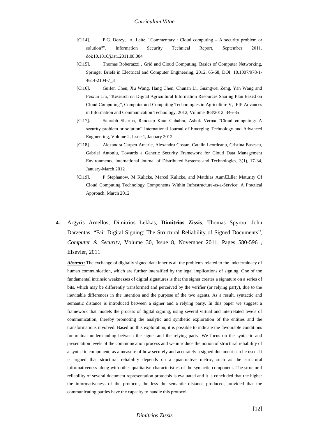- [Ci14]. P.G. Dorey, A. Leite, "Commentary : Cloud computing A security problem or solution?", Information Security Technical Report, September 2011. doi:10.1016/j.istr.2011.08.004
- [Ci15]. Thomas Robertazzi , Grid and Cloud Computing, Basics of Computer Networking, Springer Briefs in Electrical and Computer Engineering, 2012, 65-68, DOI: 10.1007/978-1- 4614-2104-7\_8
- [Ci16]. Guifen Chen, Xu Wang, Hang Chen, Chunan Li, Guangwei Zeng, Yan Wang and Peixun Liu, "Research on Digital Agricultural Information Resources Sharing Plan Based on Cloud Computing", Computer and Computing Technologies in Agriculture V, IFIP Advances in Information and Communication Technology, 2012, Volume 368/2012, 346-35
- [Ci17]. Saurabh Sharma, Randeep Kaur Chhabra, Ashok Verma "Cloud computing: A security problem or solution" International Journal of Emerging Technology and Advanced Engineering, Volume 2, Issue 1, January 2012
- [Ci18]. Alexandra Carpen-Amarie, Alexandru Costan, Catalin Leordeanu, Cristina Basescu, Gabriel Antoniu, Towards a Generic Security Framework for Cloud Data Management Environments, International Journal of Distributed Systems and Technologies, 3(1), 17-34, January-March 2012
- [Ci19]. P Stephanow, M Kulicke, Marcel Kulicke, and Matthias Aum• uller [Maturity Of](http://141.12.72.110/wp-content/uploads/2012/01/Maturity-Of-Cloud-Computing-Technology-Components-Within-Infrastructure-as-a-Service-A-Practical-Approach.pdf)  [Cloud Computing Technology Components Within Infrastructure-as-a-Service: A Practical](http://141.12.72.110/wp-content/uploads/2012/01/Maturity-Of-Cloud-Computing-Technology-Components-Within-Infrastructure-as-a-Service-A-Practical-Approach.pdf)  [Approach,](http://141.12.72.110/wp-content/uploads/2012/01/Maturity-Of-Cloud-Computing-Technology-Components-Within-Infrastructure-as-a-Service-A-Practical-Approach.pdf) March 2012
- **4.** Argyris Arnellos, Dimitrios Lekkas, **Dimitrios Zissis**, Thomas Spyrou, John Darzentas. "Fair Digital Signing: The Structural Reliability of Signed Documents", *Computer & Security*, Volume 30, Issue 8, November 2011, Pages 580-596 , Elsevier, 2011

*Abstract***:** The exchange of digitally signed data inherits all the problems related to the indeterminacy of human communication, which are further intensified by the legal implications of signing. One of the fundamental intrinsic weaknesses of digital signatures is that the signer creates a signature on a series of bits, which may be differently transformed and perceived by the verifier (or relying party), due to the inevitable differences in the intention and the purpose of the two agents. As a result, syntactic and semantic distance is introduced between a signer and a relying party. In this paper we suggest a framework that models the process of digital signing, using several virtual and interrelated levels of communication, thereby promoting the analytic and synthetic exploration of the entities and the transformations involved. Based on this exploration, it is possible to indicate the favourable conditions for mutual understanding between the signer and the relying party. We focus on the syntactic and presentation levels of the communication process and we introduce the notion of structural reliability of a syntactic component, as a measure of how securely and accurately a signed document can be used. It is argued that structural reliability depends on a quantitative metric, such as the structural informativeness along with other qualitative characteristics of the syntactic component. The structural reliability of several document representation protocols is evaluated and it is concluded that the higher the informativeness of the protocol, the less the semantic distance produced, provided that the communicating parties have the capacity to handle this protocol.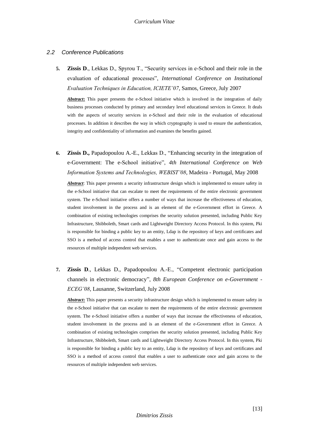#### <span id="page-12-0"></span>*2.2 Conference Publications*

**5. Zissis D**., Lekkas D., Spyrou T., "Security services in e-School and their role in the evaluation of educational processes", *International Conference on Institutional Evaluation Techniques in Education, ICIETE'07*, Samos, Greece, July 2007

*Abstract***:** This paper presents the e-School initiative which is involved in the integration of daily business processes conducted by primary and secondary level educational services in Greece. It deals with the aspects of security services in e-School and their role in the evaluation of educational processes. In addition it describes the way in which cryptography is used to ensure the authentication, integrity and confidentiality of information and examines the benefits gained.

**6. Zissis D.,** Papadopoulou A.-E., Lekkas D., "Enhancing security in the integration of e-Government: The e-School initiative", *4th International Conference on Web Information Systems and Technologies, WEBIST'08*, Madeira - Portugal, May 2008

*Abstract*: This paper presents a security infrastructure design which is implemented to ensure safety in the e-School initiative that can escalate to meet the requirements of the entire electronic government system. The e-School initiative offers a number of ways that increase the effectiveness of education, student involvement in the process and is an element of the e-Government effort in Greece. A combination of existing technologies comprises the security solution presented, including Public Key Infrastructure, Shibboleth, Smart cards and Lightweight Directory Access Protocol. In this system, Pki is responsible for binding a public key to an entity, Ldap is the repository of keys and certificates and SSO is a method of access control that enables a user to authenticate once and gain access to the resources of multiple independent web services.

**7. Zissis D**., Lekkas D., Papadopoulou A.-E., "Competent electronic participation channels in electronic democracy", *8th European Conference on e-Government - ECEG'08*, Lausanne, Switzerland, July 2008

*Abstract***:** This paper presents a security infrastructure design which is implemented to ensure safety in the e-School initiative that can escalate to meet the requirements of the entire electronic government system. The e-School initiative offers a number of ways that increase the effectiveness of education, student involvement in the process and is an element of the e-Government effort in Greece. A combination of existing technologies comprises the security solution presented, including Public Key Infrastructure, Shibboleth, Smart cards and Lightweight Directory Access Protocol. In this system, Pki is responsible for binding a public key to an entity, Ldap is the repository of keys and certificates and SSO is a method of access control that enables a user to authenticate once and gain access to the resources of multiple independent web services.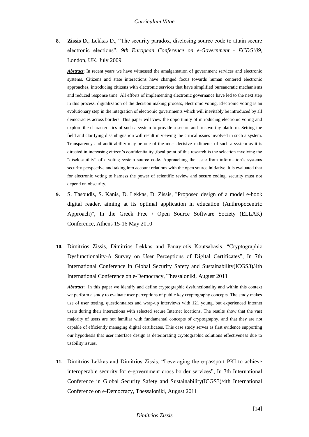**8. Zissis D**., Lekkas D., "The security paradox, disclosing source code to attain secure electronic elections", *9th European Conference on e-Government - ECEG'09*, London, UK, July 2009

*Abstract*: In recent years we have witnessed the amalgamation of government services and electronic systems. Citizens and state interactions have changed focus towards human centered electronic approaches, introducing citizens with electronic services that have simplified bureaucratic mechanisms and reduced response time. All efforts of implementing electronic governance have led to the next step in this process, digitalization of the decision making process, electronic voting. Electronic voting is an evolutionary step in the integration of electronic governments which will inevitably be introduced by all democracies across borders. This paper will view the opportunity of introducing electronic voting and explore the characteristics of such a system to provide a secure and trustworthy platform. Setting the field and clarifying disambiguation will result in viewing the critical issues involved in such a system. Transparency and audit ability may be one of the most decisive rudiments of such a system as it is directed in increasing citizen's confidentiality ,focal point of this research is the selection involving the "disclosability" of e-voting system source code. Approaching the issue from information's systems security perspective and taking into account relations with the open source initiative, it is evaluated that for electronic voting to harness the power of scientific review and secure coding, security must not depend on obscurity.

- **9.** S. Tasoudis, S. Kanis, D. Lekkas, D. Zissis, "Proposed design of a model e-book digital reader, aiming at its optimal application in education (Anthropocentric Approach)", In the Greek Free / Open Source Software Society (ELLAK) Conference, Athens 15-16 May 2010
- **10.** Dimitrios Zissis, Dimitrios Lekkas and Panayiotis Koutsabasis, "Cryptographic Dysfunctionality-A Survey on User Perceptions of Digital Certificates", In 7th International Conference in Global Security Safety and Sustainability(ICGS3)/4th International Conference on e-Democracy, Thessaloniki, August 2011

*Abstract*: In this paper we identify and define cryptographic dysfunctionality and within this context we perform a study to evaluate user perceptions of public key cryptography concepts. The study makes use of user testing, questionnaires and wrap-up interviews with 121 young, but experienced Internet users during their interactions with selected secure Internet locations. The results show that the vast majority of users are not familiar with fundamental concepts of cryptography, and that they are not capable of efficiently managing digital certificates. This case study serves as first evidence supporting our hypothesis that user interface design is deteriorating cryptographic solutions effectiveness due to usability issues.

**11.** Dimitrios Lekkas and Dimitrios Zissis, "Leveraging the e-passport PKI to achieve interoperable security for e-government cross border services", In 7th International Conference in Global Security Safety and Sustainability(ICGS3)/4th International Conference on e-Democracy, Thessaloniki, August 2011